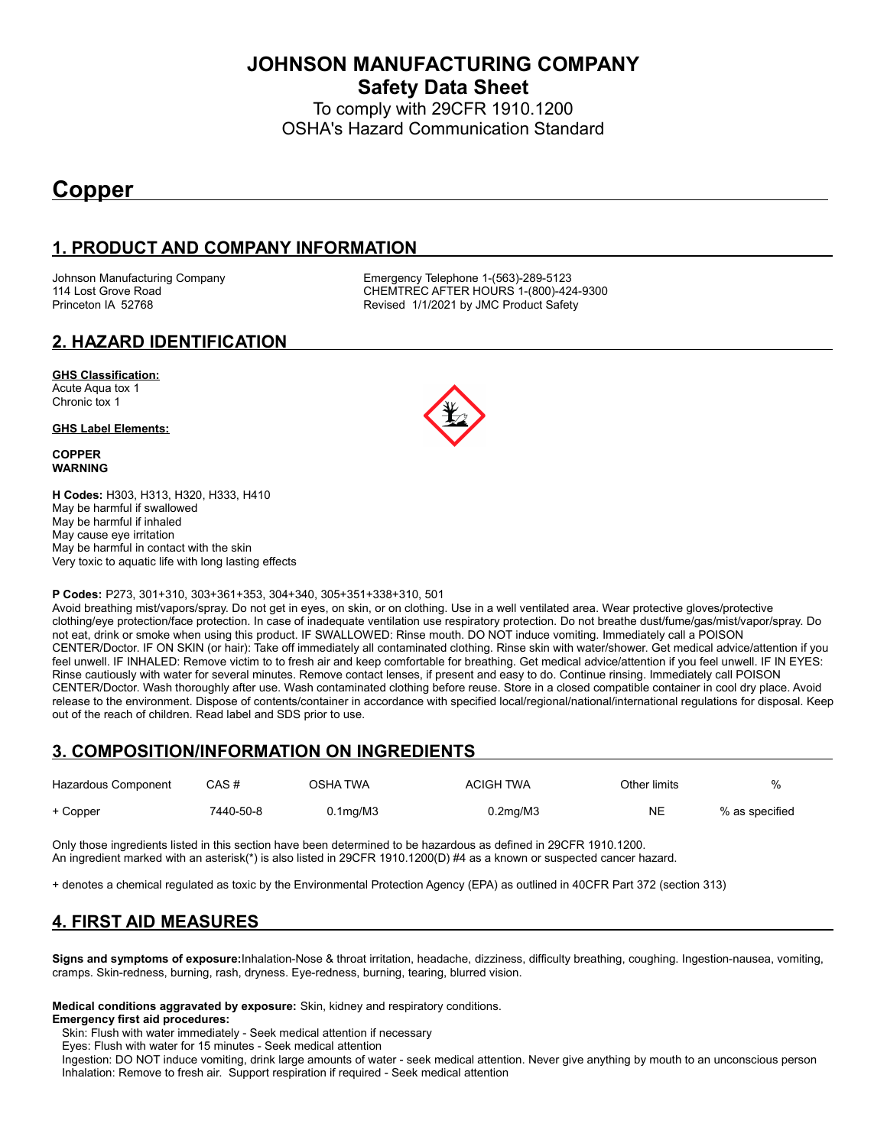**JOHNSON MANUFACTURING COMPANY Safety Data Sheet**

To comply with 29CFR 1910.1200 OSHA's Hazard Communication Standard

# **Copper**

### **1. PRODUCT AND COMPANY INFORMATION**

Johnson Manufacturing Company **Emergency Telephone 1-(563)-289-5123**<br>114 Lost Grove Road **COMPAN COMPANE CONTREC AFTER HOURS** 1-(800)-42 CHEMTREC AFTER HOURS 1-(800)-424-9300 Princeton IA 52768 **Revised 1/1/2021 by JMC Product Safety** 

#### **2. HAZARD IDENTIFICATION**

#### **GHS Classification:**

Acute Aqua tox 1 Chronic tox 1

#### **GHS Label Elements:**

**COPPER WARNING**

**H Codes:** H303, H313, H320, H333, H410 May be harmful if swallowed May be harmful if inhaled May cause eye irritation May be harmful in contact with the skin Very toxic to aquatic life with long lasting effects

#### **P Codes:** P273, 301+310, 303+361+353, 304+340, 305+351+338+310, 501

Avoid breathing mist/vapors/spray. Do not get in eyes, on skin, or on clothing. Use in a well ventilated area. Wear protective gloves/protective clothing/eye protection/face protection. In case of inadequate ventilation use respiratory protection. Do not breathe dust/fume/gas/mist/vapor/spray. Do not eat, drink or smoke when using this product. IF SWALLOWED: Rinse mouth. DO NOT induce vomiting. Immediately call a POISON CENTER/Doctor. IF ON SKIN (or hair): Take off immediately all contaminated clothing. Rinse skin with water/shower. Get medical advice/attention if you feel unwell. IF INHALED: Remove victim to to fresh air and keep comfortable for breathing. Get medical advice/attention if you feel unwell. IF IN EYES: Rinse cautiously with water for several minutes. Remove contact lenses, if present and easy to do. Continue rinsing. Immediately call POISON CENTER/Doctor. Wash thoroughly after use. Wash contaminated clothing before reuse. Store in a closed compatible container in cool dry place. Avoid release to the environment. Dispose of contents/container in accordance with specified local/regional/national/international regulations for disposal. Keep out of the reach of children. Read label and SDS prior to use.

### **3. COMPOSITION/INFORMATION ON INGREDIENTS**

| Hazardous Component | CAS#      | OSHA TWA       | <b>ACIGH TWA</b> | Other limits | $\%$           |
|---------------------|-----------|----------------|------------------|--------------|----------------|
| + Copper            | 7440-50-8 | $0.1$ ma/M $3$ | $0.2$ mg/M $3$   | <b>NE</b>    | % as specified |

Only those ingredients listed in this section have been determined to be hazardous as defined in 29CFR 1910.1200. An ingredient marked with an asterisk(\*) is also listed in 29CFR 1910.1200(D) #4 as a known or suspected cancer hazard.

+ denotes a chemical regulated as toxic by the Environmental Protection Agency (EPA) as outlined in 40CFR Part 372 (section 313)

## **4. FIRST AID MEASURES**

**Signs and symptoms of exposure:**Inhalation-Nose & throat irritation, headache, dizziness, difficulty breathing, coughing. Ingestion-nausea, vomiting, cramps. Skin-redness, burning, rash, dryness. Eye-redness, burning, tearing, blurred vision.

**Medical conditions aggravated by exposure:** Skin, kidney and respiratory conditions.

#### **Emergency first aid procedures:**

Skin: Flush with water immediately - Seek medical attention if necessary

Eyes: Flush with water for 15 minutes - Seek medical attention

 Ingestion: DO NOT induce vomiting, drink large amounts of water - seek medical attention. Never give anything by mouth to an unconscious person Inhalation: Remove to fresh air. Support respiration if required - Seek medical attention

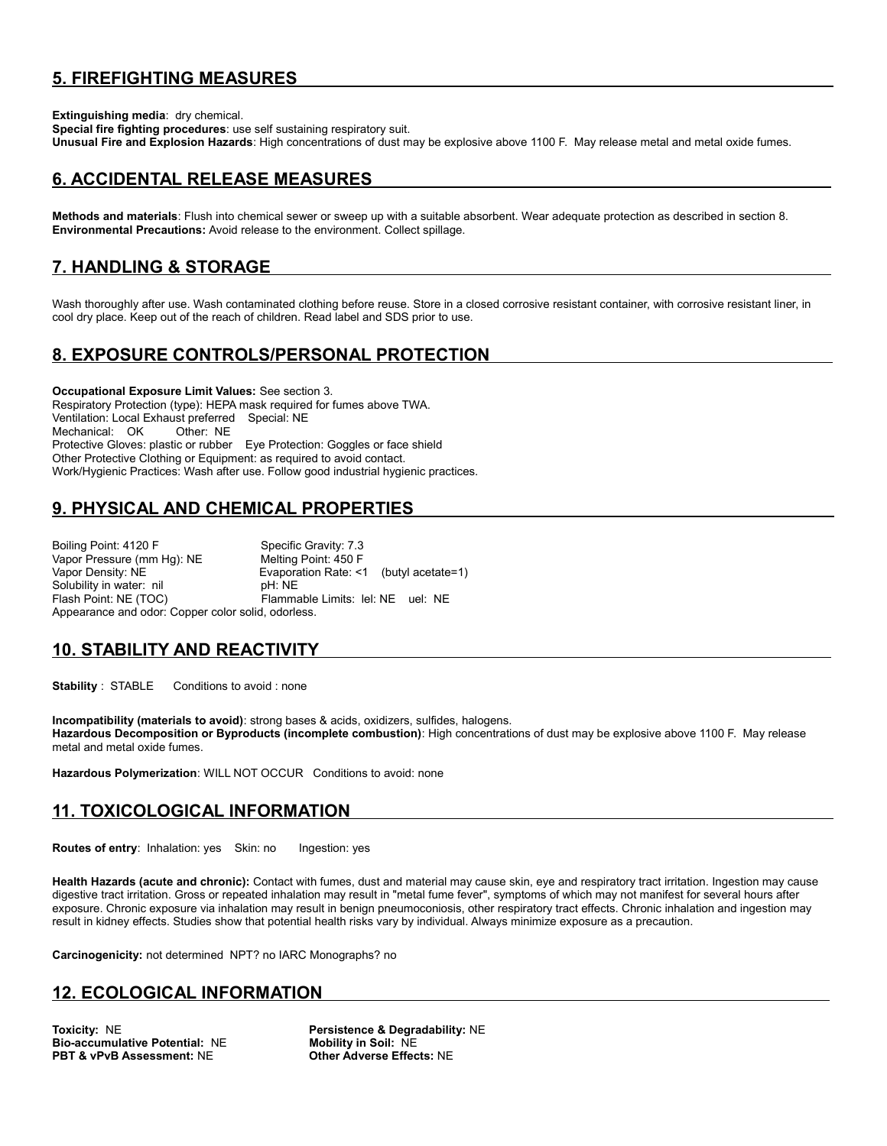### **5. FIREFIGHTING MEASURES**

**Extinguishing media**: dry chemical.

**Special fire fighting procedures**: use self sustaining respiratory suit. **Unusual Fire and Explosion Hazards**: High concentrations of dust may be explosive above 1100 F. May release metal and metal oxide fumes.

#### **6. ACCIDENTAL RELEASE MEASURES**

**Methods and materials**: Flush into chemical sewer or sweep up with a suitable absorbent. Wear adequate protection as described in section 8. **Environmental Precautions:** Avoid release to the environment. Collect spillage.

#### **7. HANDLING & STORAGE**

Wash thoroughly after use. Wash contaminated clothing before reuse. Store in a closed corrosive resistant container, with corrosive resistant liner, in cool dry place. Keep out of the reach of children. Read label and SDS prior to use.

### **8. EXPOSURE CONTROLS/PERSONAL PROTECTION**

**Occupational Exposure Limit Values:** See section 3. Respiratory Protection (type): HEPA mask required for fumes above TWA. Ventilation: Local Exhaust preferred Special: NE Mechanical: OK Protective Gloves: plastic or rubber Eye Protection: Goggles or face shield Other Protective Clothing or Equipment: as required to avoid contact. Work/Hygienic Practices: Wash after use. Follow good industrial hygienic practices.

### **9. PHYSICAL AND CHEMICAL PROPERTIES**

Boiling Point: 4120 F Specific Gravity: 7.3 Vapor Pressure (mm Hg): NE Melting Point: 450 F Vapor Density: NE <br>
Solubility in water: nil example: NE by DH: NE Solubility in water: nil Flash Point: NE (TOC) Flammable Limits: lel: NE uel: NE Appearance and odor: Copper color solid, odorless.

#### **10. STABILITY AND REACTIVITY**

**Stability** : STABLE Conditions to avoid : none

**Incompatibility (materials to avoid)**: strong bases & acids, oxidizers, sulfides, halogens. **Hazardous Decomposition or Byproducts (incomplete combustion)**: High concentrations of dust may be explosive above 1100 F. May release metal and metal oxide fumes.

**Hazardous Polymerization**: WILL NOT OCCUR Conditions to avoid: none

#### **11. TOXICOLOGICAL INFORMATION**

**Routes of entry:** Inhalation: yes Skin: no Ingestion: yes

**Health Hazards (acute and chronic):** Contact with fumes, dust and material may cause skin, eye and respiratory tract irritation. Ingestion may cause digestive tract irritation. Gross or repeated inhalation may result in "metal fume fever", symptoms of which may not manifest for several hours after exposure. Chronic exposure via inhalation may result in benign pneumoconiosis, other respiratory tract effects. Chronic inhalation and ingestion may result in kidney effects. Studies show that potential health risks vary by individual. Always minimize exposure as a precaution.

**Carcinogenicity:** not determined NPT? no IARC Monographs? no

#### **12. ECOLOGICAL INFORMATION**

**Toxicity: NE**<br> **Bio-accumulative Potential: NE Mobility in Soil: NE Bio-accumulative Potential: NE PBT & vPvB Assessment:** NE **Other Adverse Effects:** NE